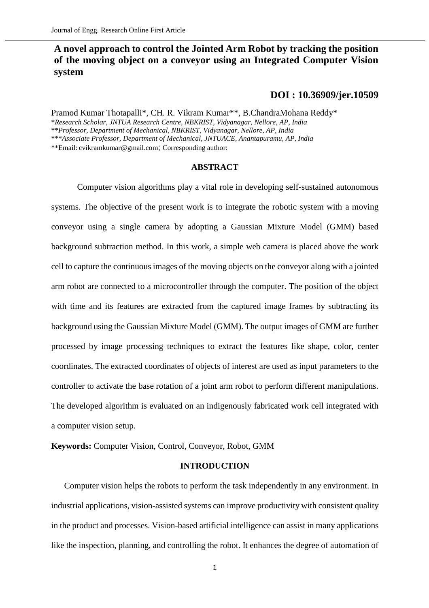# **A novel approach to control the Jointed Arm Robot by tracking the position of the moving object on a conveyor using an Integrated Computer Vision system**

# **[DOI : 10.36909/jer.10509](https://doi.org/10.36909/jer.10509)**

Pramod Kumar Thotapalli\*, CH. R. Vikram Kumar\*\*, B.ChandraMohana Reddy\* \**Research Scholar, JNTUA Research Centre, NBKRIST, Vidyanagar, Nellore, AP, India* \*\**Professor, Department of Mechanical, NBKRIST, Vidyanagar, Nellore, AP, India* \*\*\**Associate Professor, Department of Mechanical, JNTUACE, Anantapuramu, AP, India* \*\*Email: [cvikramkumar@gmail.com](mailto:cvikramkumar@gmail.com); Corresponding author:

## **ABSTRACT**

Computer vision algorithms play a vital role in developing self-sustained autonomous systems. The objective of the present work is to integrate the robotic system with a moving conveyor using a single camera by adopting a Gaussian Mixture Model (GMM) based background subtraction method. In this work, a simple web camera is placed above the work cell to capture the continuous images of the moving objects on the conveyor along with a jointed arm robot are connected to a microcontroller through the computer. The position of the object with time and its features are extracted from the captured image frames by subtracting its background using the Gaussian Mixture Model (GMM). The output images of GMM are further processed by image processing techniques to extract the features like shape, color, center coordinates. The extracted coordinates of objects of interest are used as input parameters to the controller to activate the base rotation of a joint arm robot to perform different manipulations. The developed algorithm is evaluated on an indigenously fabricated work cell integrated with a computer vision setup.

**Keywords:** Computer Vision, Control, Conveyor, Robot, GMM

## **INTRODUCTION**

Computer vision helps the robots to perform the task independently in any environment. In industrial applications, vision-assisted systems can improve productivity with consistent quality in the product and processes. Vision-based artificial intelligence can assist in many applications like the inspection, planning, and controlling the robot. It enhances the degree of automation of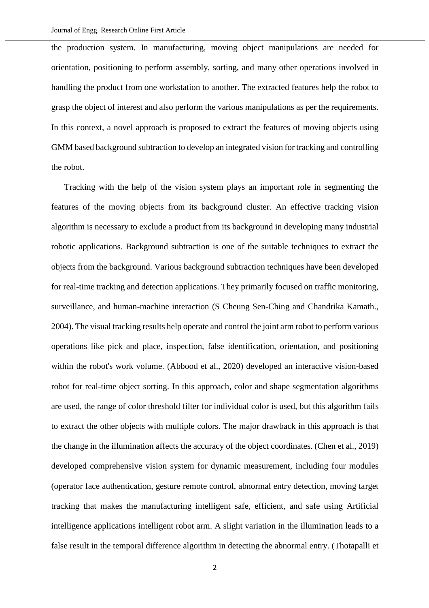the production system. In manufacturing, moving object manipulations are needed for orientation, positioning to perform assembly, sorting, and many other operations involved in handling the product from one workstation to another. The extracted features help the robot to grasp the object of interest and also perform the various manipulations as per the requirements. In this context, a novel approach is proposed to extract the features of moving objects using GMM based background subtraction to develop an integrated vision for tracking and controlling the robot.

Tracking with the help of the vision system plays an important role in segmenting the features of the moving objects from its background cluster. An effective tracking vision algorithm is necessary to exclude a product from its background in developing many industrial robotic applications. Background subtraction is one of the suitable techniques to extract the objects from the background. Various background subtraction techniques have been developed for real-time tracking and detection applications. They primarily focused on traffic monitoring, surveillance, and human-machine interaction (S Cheung Sen-Ching and Chandrika Kamath., 2004). The visual tracking results help operate and control the joint arm robot to perform various operations like pick and place, inspection, false identification, orientation, and positioning within the robot's work volume. (Abbood et al., 2020) developed an interactive vision-based robot for real-time object sorting. In this approach, color and shape segmentation algorithms are used, the range of color threshold filter for individual color is used, but this algorithm fails to extract the other objects with multiple colors. The major drawback in this approach is that the change in the illumination affects the accuracy of the object coordinates. (Chen et al., 2019) developed comprehensive vision system for dynamic measurement, including four modules (operator face authentication, gesture remote control, abnormal entry detection, moving target tracking that makes the manufacturing intelligent safe, efficient, and safe using Artificial intelligence applications intelligent robot arm. A slight variation in the illumination leads to a false result in the temporal difference algorithm in detecting the abnormal entry. (Thotapalli et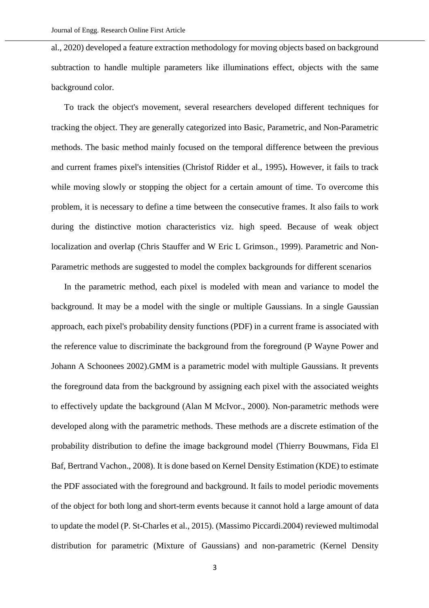al., 2020) developed a feature extraction methodology for moving objects based on background subtraction to handle multiple parameters like illuminations effect, objects with the same background color.

To track the object's movement, several researchers developed different techniques for tracking the object. They are generally categorized into Basic, Parametric, and Non-Parametric methods. The basic method mainly focused on the temporal difference between the previous and current frames pixel's intensities (Christof Ridder et al., 1995)**.** However, it fails to track while moving slowly or stopping the object for a certain amount of time. To overcome this problem, it is necessary to define a time between the consecutive frames. It also fails to work during the distinctive motion characteristics viz. high speed. Because of weak object localization and overlap (Chris Stauffer and W Eric L Grimson., 1999). Parametric and Non-Parametric methods are suggested to model the complex backgrounds for different scenarios

In the parametric method, each pixel is modeled with mean and variance to model the background. It may be a model with the single or multiple Gaussians. In a single Gaussian approach, each pixel's probability density functions (PDF) in a current frame is associated with the reference value to discriminate the background from the foreground (P Wayne Power and Johann A Schoonees 2002).GMM is a parametric model with multiple Gaussians. It prevents the foreground data from the background by assigning each pixel with the associated weights to effectively update the background (Alan M McIvor., 2000). Non-parametric methods were developed along with the parametric methods. These methods are a discrete estimation of the probability distribution to define the image background model (Thierry Bouwmans, Fida El Baf, Bertrand Vachon., 2008). It is done based on Kernel Density Estimation (KDE) to estimate the PDF associated with the foreground and background. It fails to model periodic movements of the object for both long and short-term events because it cannot hold a large amount of data to update the model (P. St-Charles et al., 2015). (Massimo Piccardi.2004) reviewed multimodal distribution for parametric (Mixture of Gaussians) and non-parametric (Kernel Density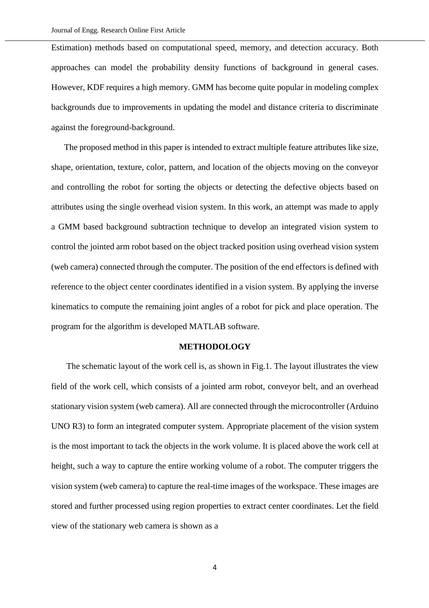Estimation) methods based on computational speed, memory, and detection accuracy. Both approaches can model the probability density functions of background in general cases. However, KDF requires a high memory. GMM has become quite popular in modeling complex backgrounds due to improvements in updating the model and distance criteria to discriminate against the foreground-background.

The proposed method in this paper is intended to extract multiple feature attributes like size, shape, orientation, texture, color, pattern, and location of the objects moving on the conveyor and controlling the robot for sorting the objects or detecting the defective objects based on attributes using the single overhead vision system. In this work, an attempt was made to apply a GMM based background subtraction technique to develop an integrated vision system to control the jointed arm robot based on the object tracked position using overhead vision system (web camera) connected through the computer. The position of the end effectors is defined with reference to the object center coordinates identified in a vision system. By applying the inverse kinematics to compute the remaining joint angles of a robot for pick and place operation. The program for the algorithm is developed MATLAB software.

## **METHODOLOGY**

 The schematic layout of the work cell is, as shown in Fig.1. The layout illustrates the view field of the work cell, which consists of a jointed arm robot, conveyor belt, and an overhead stationary vision system (web camera). All are connected through the microcontroller (Arduino UNO R3) to form an integrated computer system. Appropriate placement of the vision system is the most important to tack the objects in the work volume. It is placed above the work cell at height, such a way to capture the entire working volume of a robot. The computer triggers the vision system (web camera) to capture the real-time images of the workspace. These images are stored and further processed using region properties to extract center coordinates. Let the field view of the stationary web camera is shown as a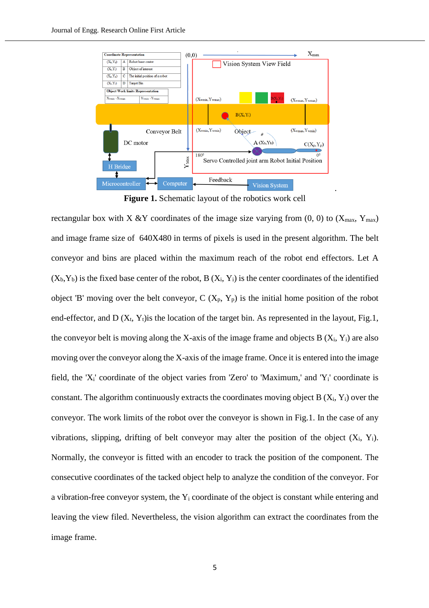

**Figure 1.** Schematic layout of the robotics work cell

rectangular box with X &Y coordinates of the image size varying from  $(0, 0)$  to  $(X_{\text{max}}, Y_{\text{max}})$ and image frame size of 640X480 in terms of pixels is used in the present algorithm. The belt conveyor and bins are placed within the maximum reach of the robot end effectors. Let A  $(X_b, Y_b)$  is the fixed base center of the robot, B  $(X_i, Y_i)$  is the center coordinates of the identified object 'B' moving over the belt conveyor,  $C(X_p, Y_p)$  is the initial home position of the robot end-effector, and D  $(X_t, Y_t)$  is the location of the target bin. As represented in the layout, Fig.1, the conveyor belt is moving along the X-axis of the image frame and objects  $B(X_i, Y_i)$  are also moving over the conveyor along the X-axis of the image frame. Once it is entered into the image field, the 'Xi' coordinate of the object varies from 'Zero' to 'Maximum,' and 'Yi' coordinate is constant. The algorithm continuously extracts the coordinates moving object  $B(X_i, Y_i)$  over the conveyor. The work limits of the robot over the conveyor is shown in Fig.1. In the case of any vibrations, slipping, drifting of belt conveyor may alter the position of the object  $(X_i, Y_i)$ . Normally, the conveyor is fitted with an encoder to track the position of the component. The consecutive coordinates of the tacked object help to analyze the condition of the conveyor. For a vibration-free conveyor system, the  $Y_i$  coordinate of the object is constant while entering and leaving the view filed. Nevertheless, the vision algorithm can extract the coordinates from the image frame.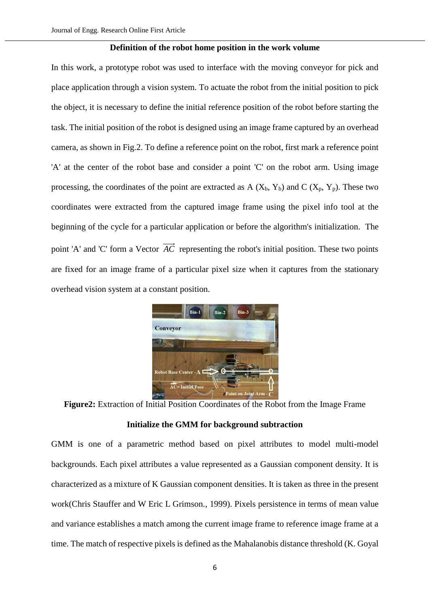#### **Definition of the robot home position in the work volume**

In this work, a prototype robot was used to interface with the moving conveyor for pick and place application through a vision system. To actuate the robot from the initial position to pick the object, it is necessary to define the initial reference position of the robot before starting the task. The initial position of the robot is designed using an image frame captured by an overhead camera, as shown in Fig.2. To define a reference point on the robot, first mark a reference point 'A' at the center of the robot base and consider a point 'C' on the robot arm. Using image processing, the coordinates of the point are extracted as  $A(X_b, Y_b)$  and  $C(X_p, Y_p)$ . These two coordinates were extracted from the captured image frame using the pixel info tool at the beginning of the cycle for a particular application or before the algorithm's initialization. The point 'A' and 'C' form a Vector *AC* representing the robot's initial position. These two points are fixed for an image frame of a particular pixel size when it captures from the stationary overhead vision system at a constant position.



**Figure2:** Extraction of Initial Position Coordinates of the Robot from the Image Frame

# **Initialize the GMM for background subtraction**

GMM is one of a parametric method based on pixel attributes to model multi-model backgrounds. Each pixel attributes a value represented as a Gaussian component density. It is characterized as a mixture of K Gaussian component densities. It is taken as three in the present work(Chris Stauffer and W Eric L Grimson., 1999). Pixels persistence in terms of mean value and variance establishes a match among the current image frame to reference image frame at a time. The match of respective pixels is defined as the Mahalanobis distance threshold (K. Goyal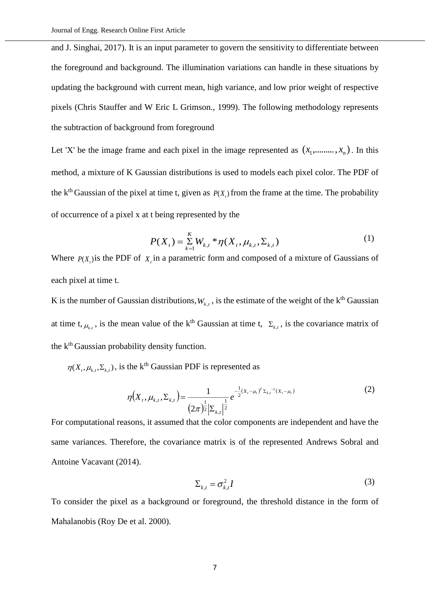and J. Singhai, 2017). It is an input parameter to govern the sensitivity to differentiate between the foreground and background. The illumination variations can handle in these situations by updating the background with current mean, high variance, and low prior weight of respective pixels (Chris Stauffer and W Eric L Grimson., 1999). The following methodology represents the subtraction of background from foreground

Let 'X' be the image frame and each pixel in the image represented as  $(x_1, \ldots, x_n)$ . In this method, a mixture of K Gaussian distributions is used to models each pixel color. The PDF of the k<sup>th</sup> Gaussian of the pixel at time t, given as  $P(X_t)$  from the frame at the time. The probability of occurrence of a pixel x at t being represented by the

$$
P(X_t) = \sum_{k=1}^{K} W_{k,t} * \eta(X_t, \mu_{k,t}, \Sigma_{k,t})
$$
 (1)

Where  $P(X_t)$  is the PDF of  $X_t$  in a parametric form and composed of a mixture of Gaussians of each pixel at time t.

K is the number of Gaussian distributions,  $W_{k,t}$ , is the estimate of the weight of the k<sup>th</sup> Gaussian at time t,  $\mu_{k,t}$ , is the mean value of the k<sup>th</sup> Gaussian at time t,  $\Sigma_{k,t}$ , is the covariance matrix of the k<sup>th</sup> Gaussian probability density function.

 $\eta(X_t, \mu_{k,t}, \Sigma_{k,t})$ , is the k<sup>th</sup> Gaussian PDF is represented as

$$
\eta\big(X_{t},\mu_{k,t},\Sigma_{k,t}\big) = \frac{1}{\left(2\pi\right)^{\frac{1}{2}}\left|\Sigma_{k,t}\right|^{\frac{1}{2}}}e^{-\frac{1}{2}\left(X_{t}-\mu_{t}\right)^{T}\Sigma_{k,t}^{-1}\left(X_{t}-\mu_{t}\right)}
$$
(2)

For computational reasons, it assumed that the color components are independent and have the same variances. Therefore, the covariance matrix is of the represented Andrews Sobral and Antoine Vacavant (2014).

$$
\Sigma_{k,t} = \sigma_{k,t}^2 I \tag{3}
$$

To consider the pixel as a background or foreground, the threshold distance in the form of Mahalanobis (Roy De et al. 2000).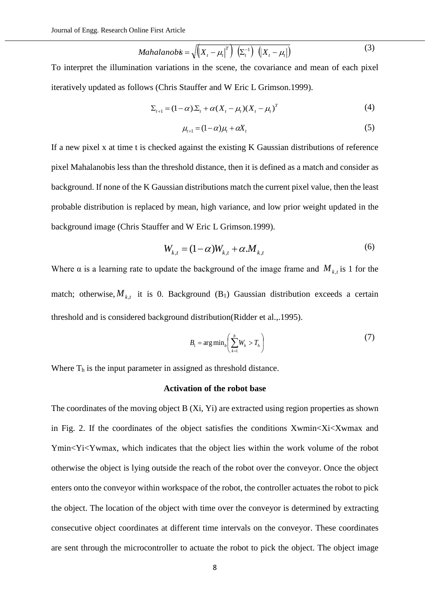$$
Mahalanob\dot{\mathbf{s}} = \sqrt{\left(X_t - \mu_t\right)^T} \left(\Sigma_t^{-1}\right) \left(\left(X_t - \mu_t\right)\right) \tag{3}
$$

To interpret the illumination variations in the scene, the covariance and mean of each pixel iteratively updated as follows (Chris Stauffer and W Eric L Grimson.1999).

$$
\Sigma_{t+1} = (1 - \alpha) \Sigma_t + \alpha (X_t - \mu_t) (X_t - \mu_t)^T
$$
\n(4)

$$
\mu_{t+1} = (1 - \alpha)\mu_t + \alpha X_t \tag{5}
$$

If a new pixel x at time t is checked against the existing K Gaussian distributions of reference pixel Mahalanobis less than the threshold distance, then it is defined as a match and consider as background. If none of the K Gaussian distributions match the current pixel value, then the least probable distribution is replaced by mean, high variance, and low prior weight updated in the background image (Chris Stauffer and W Eric L Grimson.1999).

$$
W_{k,t} = (1 - \alpha)W_{k,t} + \alpha M_{k,t} \tag{6}
$$

Where  $\alpha$  is a learning rate to update the background of the image frame and  $M_{k,t}$  is 1 for the match; otherwise,  $M_{k,t}$  it is 0. Background (B<sub>1</sub>) Gaussian distribution exceeds a certain threshold and is considered background distribution(Ridder et al.,.1995).

$$
B_1 = \arg\min_b \left( \sum_{k=1}^b W_k > T_h \right) \tag{7}
$$

Where  $T_h$  is the input parameter in assigned as threshold distance.

## **Activation of the robot base**

The coordinates of the moving object B (Xi, Yi) are extracted using region properties as shown in Fig. 2. If the coordinates of the object satisfies the conditions Xwmin<Xi<Xwmax and Ymin<Yi<Ywmax, which indicates that the object lies within the work volume of the robot otherwise the object is lying outside the reach of the robot over the conveyor. Once the object enters onto the conveyor within workspace of the robot, the controller actuates the robot to pick the object. The location of the object with time over the conveyor is determined by extracting consecutive object coordinates at different time intervals on the conveyor. These coordinates are sent through the microcontroller to actuate the robot to pick the object. The object image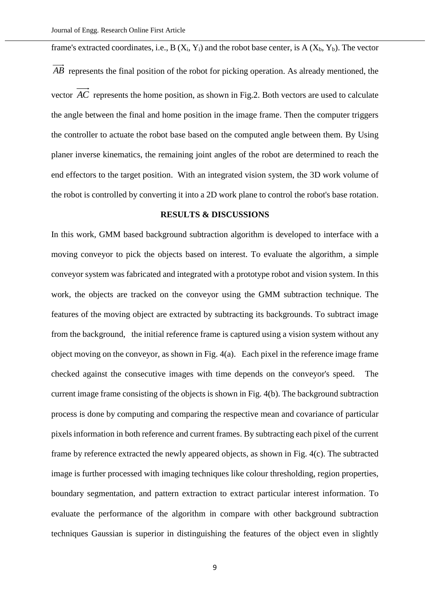frame's extracted coordinates, i.e.,  $B(X_i, Y_i)$  and the robot base center, is  $A(X_b, Y_b)$ . The vector *AB* represents the final position of the robot for picking operation. As already mentioned, the vector *AC* represents the home position, as shown in Fig.2. Both vectors are used to calculate the angle between the final and home position in the image frame. Then the computer triggers the controller to actuate the robot base based on the computed angle between them. By Using planer inverse kinematics, the remaining joint angles of the robot are determined to reach the end effectors to the target position. With an integrated vision system, the 3D work volume of the robot is controlled by converting it into a 2D work plane to control the robot's base rotation.

# **RESULTS & DISCUSSIONS**

In this work, GMM based background subtraction algorithm is developed to interface with a moving conveyor to pick the objects based on interest. To evaluate the algorithm, a simple conveyor system was fabricated and integrated with a prototype robot and vision system. In this work, the objects are tracked on the conveyor using the GMM subtraction technique. The features of the moving object are extracted by subtracting its backgrounds. To subtract image from the background, the initial reference frame is captured using a vision system without any object moving on the conveyor, as shown in Fig. 4(a). Each pixel in the reference image frame checked against the consecutive images with time depends on the conveyor's speed. The current image frame consisting of the objects is shown in Fig. 4(b). The background subtraction process is done by computing and comparing the respective mean and covariance of particular pixels information in both reference and current frames. By subtracting each pixel of the current frame by reference extracted the newly appeared objects, as shown in Fig. 4(c). The subtracted image is further processed with imaging techniques like colour thresholding, region properties, boundary segmentation, and pattern extraction to extract particular interest information. To evaluate the performance of the algorithm in compare with other background subtraction techniques Gaussian is superior in distinguishing the features of the object even in slightly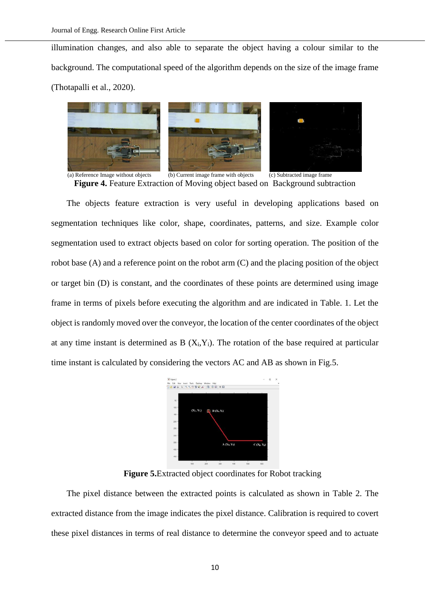illumination changes, and also able to separate the object having a colour similar to the background. The computational speed of the algorithm depends on the size of the image frame (Thotapalli et al., 2020).



(a) Reference Image without objects (b) Current image frame with objects (c) Subtracted image frame **Figure 4.** Feature Extraction of Moving object based on Background subtraction

The objects feature extraction is very useful in developing applications based on segmentation techniques like color, shape, coordinates, patterns, and size. Example color segmentation used to extract objects based on color for sorting operation. The position of the robot base (A) and a reference point on the robot arm (C) and the placing position of the object or target bin (D) is constant, and the coordinates of these points are determined using image frame in terms of pixels before executing the algorithm and are indicated in Table. 1. Let the object is randomly moved over the conveyor, the location of the center coordinates of the object at any time instant is determined as  $B(X_i,Y_i)$ . The rotation of the base required at particular time instant is calculated by considering the vectors AC and AB as shown in Fig.5.



**Figure 5.**Extracted object coordinates for Robot tracking

The pixel distance between the extracted points is calculated as shown in Table 2. The extracted distance from the image indicates the pixel distance. Calibration is required to covert these pixel distances in terms of real distance to determine the conveyor speed and to actuate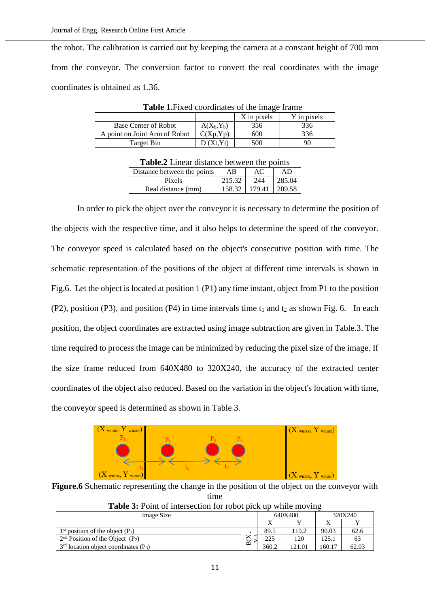the robot. The calibration is carried out by keeping the camera at a constant height of 700 mm from the conveyor. The conversion factor to convert the real coordinates with the image coordinates is obtained as 1.36.

|                               |               | X in pixels | Y in pixels |  |
|-------------------------------|---------------|-------------|-------------|--|
| Base Center of Robot          | $A(X_h, Y_h)$ | 356         | 336         |  |
| A point on Joint Arm of Robot | C(Xp,Yp)      | 600         | 336         |  |
| Target Bin                    | (Xt.Yt)       | 500         | 90          |  |

**Table 1.**Fixed coordinates of the image frame

| A WAXYE LIIIVAL GIDIMILYY OVITTYYII MIY DOIIIW |        |        |        |  |  |
|------------------------------------------------|--------|--------|--------|--|--|
| Distance between the points                    | ΑB     | AС     | AD     |  |  |
| Pixels                                         | 215.32 | 244    | 285.04 |  |  |
| Real distance (mm)                             | 158.32 | 179.41 | 209.58 |  |  |

In order to pick the object over the conveyor it is necessary to determine the position of the objects with the respective time, and it also helps to determine the speed of the conveyor. The conveyor speed is calculated based on the object's consecutive position with time. The schematic representation of the positions of the object at different time intervals is shown in Fig.6. Let the object is located at position 1 (P1) any time instant, object from P1 to the position  $(P2)$ , position  $(P3)$ , and position  $(P4)$  in time intervals time t<sub>1</sub> and t<sub>2</sub> as shown Fig. 6. In each position, the object coordinates are extracted using image subtraction are given in Table.3. The time required to process the image can be minimized by reducing the pixel size of the image. If the size frame reduced from 640X480 to 320X240, the accuracy of the extracted center coordinates of the object also reduced. Based on the variation in the object's location with time, the conveyor speed is determined as shown in Table 3.



**Figure.6** Schematic representing the change in the position of the object on the conveyor with time

| Image Size                                          |        | 640X480 |        | 320X240 |       |
|-----------------------------------------------------|--------|---------|--------|---------|-------|
|                                                     |        |         |        |         |       |
| $1st$ position of the object $(P_1)$                |        | 89.5    | 119.2  | 90.03   | 62.6  |
| $2nd$ Position of the Object $(P_2)$                | ⊻<br>ٮ | 225     | 120    | 125.    |       |
| $3rd$ location object coordinates (P <sub>3</sub> ) | m      | 360.2   | 121.01 | 160.17  | 62.03 |
|                                                     |        |         |        |         |       |

**Table 3:** Point of intersection for robot pick up while moving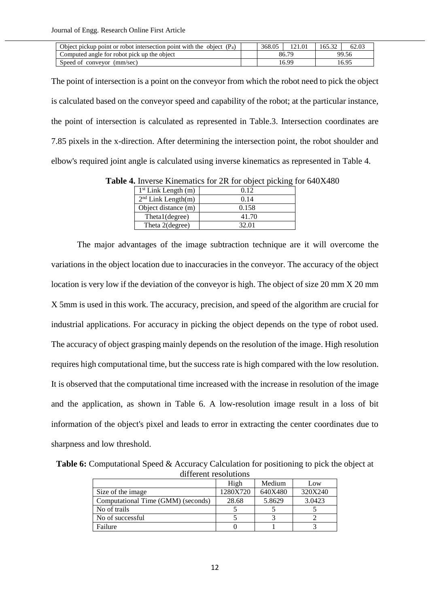| Object pickup point or robot intersection point with the object $(P_4)$ |  | 368.05 | 121.01 | 165.32 | 62.03 |
|-------------------------------------------------------------------------|--|--------|--------|--------|-------|
| Computed angle for robot pick up the object<br>86.79                    |  |        | 99.56  |        |       |
| Speed of convevor (mm/sec)                                              |  |        | 16.99  |        | 16.95 |

The point of intersection is a point on the conveyor from which the robot need to pick the object is calculated based on the conveyor speed and capability of the robot; at the particular instance, the point of intersection is calculated as represented in Table.3. Intersection coordinates are 7.85 pixels in the x-direction. After determining the intersection point, the robot shoulder and elbow's required joint angle is calculated using inverse kinematics as represented in Table 4.

| $1st$ Link Length (m) | 0.12  |
|-----------------------|-------|
| $2nd$ Link Length(m)  | 0.14  |
| Object distance (m)   | 0.158 |
| Theta1(degree)        | 41.70 |
| Theta 2(degree)       | 32.01 |

**Table 4.** Inverse Kinematics for 2R for object picking for 640X480

The major advantages of the image subtraction technique are it will overcome the variations in the object location due to inaccuracies in the conveyor. The accuracy of the object location is very low if the deviation of the conveyor is high. The object of size 20 mm X 20 mm X 5mm is used in this work. The accuracy, precision, and speed of the algorithm are crucial for industrial applications. For accuracy in picking the object depends on the type of robot used. The accuracy of object grasping mainly depends on the resolution of the image. High resolution requires high computational time, but the success rate is high compared with the low resolution. It is observed that the computational time increased with the increase in resolution of the image and the application, as shown in Table 6. A low-resolution image result in a loss of bit information of the object's pixel and leads to error in extracting the center coordinates due to sharpness and low threshold.

**Table 6:** Computational Speed & Accuracy Calculation for positioning to pick the object at different resolutions

|                                    | High     | Medium  | Low     |
|------------------------------------|----------|---------|---------|
| Size of the image                  | 1280X720 | 640X480 | 320X240 |
| Computational Time (GMM) (seconds) | 28.68    | 5.8629  | 3.0423  |
| No of trails                       |          |         |         |
| No of successful                   |          |         |         |
| Failure                            |          |         |         |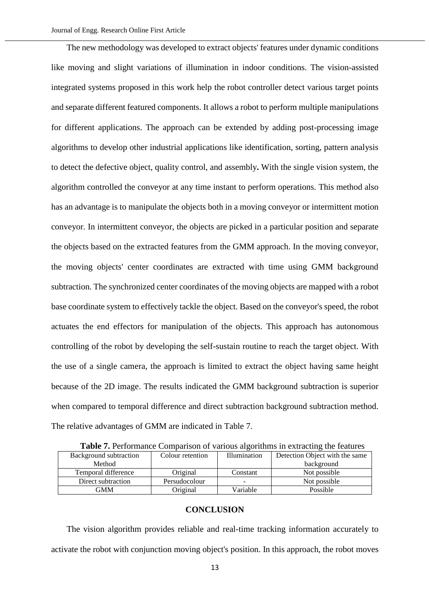The new methodology was developed to extract objects' features under dynamic conditions like moving and slight variations of illumination in indoor conditions. The vision-assisted integrated systems proposed in this work help the robot controller detect various target points and separate different featured components. It allows a robot to perform multiple manipulations for different applications. The approach can be extended by adding post-processing image algorithms to develop other industrial applications like identification, sorting, pattern analysis to detect the defective object, quality control, and assembly**.** With the single vision system, the algorithm controlled the conveyor at any time instant to perform operations. This method also has an advantage is to manipulate the objects both in a moving conveyor or intermittent motion conveyor. In intermittent conveyor, the objects are picked in a particular position and separate the objects based on the extracted features from the GMM approach. In the moving conveyor, the moving objects' center coordinates are extracted with time using GMM background subtraction. The synchronized center coordinates of the moving objects are mapped with a robot base coordinate system to effectively tackle the object. Based on the conveyor's speed, the robot actuates the end effectors for manipulation of the objects. This approach has autonomous controlling of the robot by developing the self-sustain routine to reach the target object. With the use of a single camera, the approach is limited to extract the object having same height because of the 2D image. The results indicated the GMM background subtraction is superior when compared to temporal difference and direct subtraction background subtraction method. The relative advantages of GMM are indicated in Table 7.

| <b>Table 1.1</b> Chomiance Companson of various argommins in extracting the reatures |                  |                          |                                |  |  |
|--------------------------------------------------------------------------------------|------------------|--------------------------|--------------------------------|--|--|
| Background subtraction                                                               | Colour retention | <b>Illumination</b>      | Detection Object with the same |  |  |
| Method                                                                               |                  |                          | background                     |  |  |
| Temporal difference                                                                  | Original         | Constant                 | Not possible                   |  |  |
| Direct subtraction                                                                   | Persudocolour    | $\overline{\phantom{0}}$ | Not possible                   |  |  |
| GMM                                                                                  | Original         | Variable                 | Possible                       |  |  |

**Table 7.** Performance Comparison of various algorithms in extracting the features

# **CONCLUSION**

The vision algorithm provides reliable and real-time tracking information accurately to activate the robot with conjunction moving object's position. In this approach, the robot moves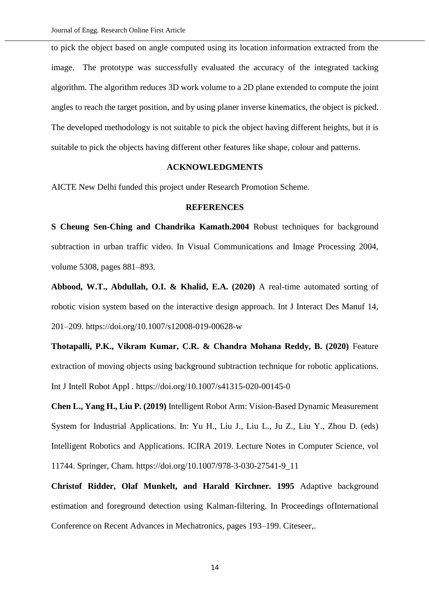to pick the object based on angle computed using its location information extracted from the image. The prototype was successfully evaluated the accuracy of the integrated tacking algorithm. The algorithm reduces 3D work volume to a 2D plane extended to compute the joint angles to reach the target position, and by using planer inverse kinematics, the object is picked. The developed methodology is not suitable to pick the object having different heights, but it is suitable to pick the objects having different other features like shape, colour and patterns.

# **ACKNOWLEDGMENTS**

AICTE New Delhi funded this project under Research Promotion Scheme.

## **REFERENCES**

**S Cheung Sen-Ching and Chandrika Kamath.2004** Robust techniques for background subtraction in urban traffic video. In Visual Communications and Image Processing 2004, volume 5308, pages 881–893.

**Abbood, W.T., Abdullah, O.I. & Khalid, E.A. (2020)** A real-time automated sorting of robotic vision system based on the interactive design approach. Int J Interact Des Manuf 14, 201–209. https://doi.org/10.1007/s12008-019-00628-w

**Thotapalli, P.K., Vikram Kumar, C.R. & Chandra Mohana Reddy, B. (2020)** Feature extraction of moving objects using background subtraction technique for robotic applications. Int J Intell Robot Appl . https://doi.org/10.1007/s41315-020-00145-0

**Chen L., Yang H., Liu P. (2019)** Intelligent Robot Arm: Vision-Based Dynamic Measurement System for Industrial Applications. In: Yu H., Liu J., Liu L., Ju Z., Liu Y., Zhou D. (eds) Intelligent Robotics and Applications. ICIRA 2019. Lecture Notes in Computer Science, vol 11744. Springer, Cham. https://doi.org/10.1007/978-3-030-27541-9\_11

**Christof Ridder, Olaf Munkelt, and Harald Kirchner. 1995** Adaptive background estimation and foreground detection using Kalman-filtering. In Proceedings ofInternational Conference on Recent Advances in Mechatronics, pages 193–199. Citeseer,.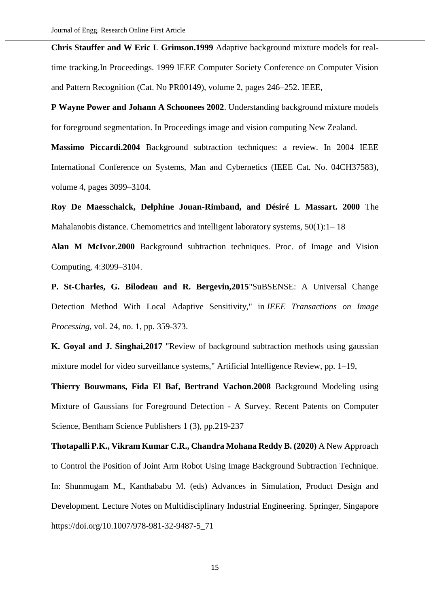**Chris Stauffer and W Eric L Grimson.1999** Adaptive background mixture models for realtime tracking.In Proceedings. 1999 IEEE Computer Society Conference on Computer Vision and Pattern Recognition (Cat. No PR00149), volume 2, pages 246–252. IEEE,

**P Wayne Power and Johann A Schoonees 2002**. Understanding background mixture models for foreground segmentation. In Proceedings image and vision computing New Zealand.

**Massimo Piccardi.2004** Background subtraction techniques: a review. In 2004 IEEE International Conference on Systems, Man and Cybernetics (IEEE Cat. No. 04CH37583), volume 4, pages 3099–3104.

**Roy De Maesschalck, Delphine Jouan-Rimbaud, and Désiré L Massart. 2000** The Mahalanobis distance. Chemometrics and intelligent laboratory systems,  $50(1):1-18$ 

**Alan M McIvor.2000** Background subtraction techniques. Proc. of Image and Vision Computing, 4:3099–3104.

**P. St-Charles, G. Bilodeau and R. Bergevin,2015**"SuBSENSE: A Universal Change Detection Method With Local Adaptive Sensitivity," in *IEEE Transactions on Image Processing*, vol. 24, no. 1, pp. 359-373.

**K. Goyal and J. Singhai,2017** "Review of background subtraction methods using gaussian mixture model for video surveillance systems," Artificial Intelligence Review, pp. 1–19,

**Thierry Bouwmans, Fida El Baf, Bertrand Vachon.2008** Background Modeling using Mixture of Gaussians for Foreground Detection - A Survey. Recent Patents on Computer Science, Bentham Science Publishers 1 (3), pp.219-237

**Thotapalli P.K., Vikram Kumar C.R., Chandra Mohana Reddy B. (2020)** A New Approach to Control the Position of Joint Arm Robot Using Image Background Subtraction Technique. In: Shunmugam M., Kanthababu M. (eds) Advances in Simulation, Product Design and Development. Lecture Notes on Multidisciplinary Industrial Engineering. Springer, Singapore [https://doi.org/10.1007/978-981-32-9487-5\\_71](https://doi.org/10.1007/978-981-32-9487-5_71)